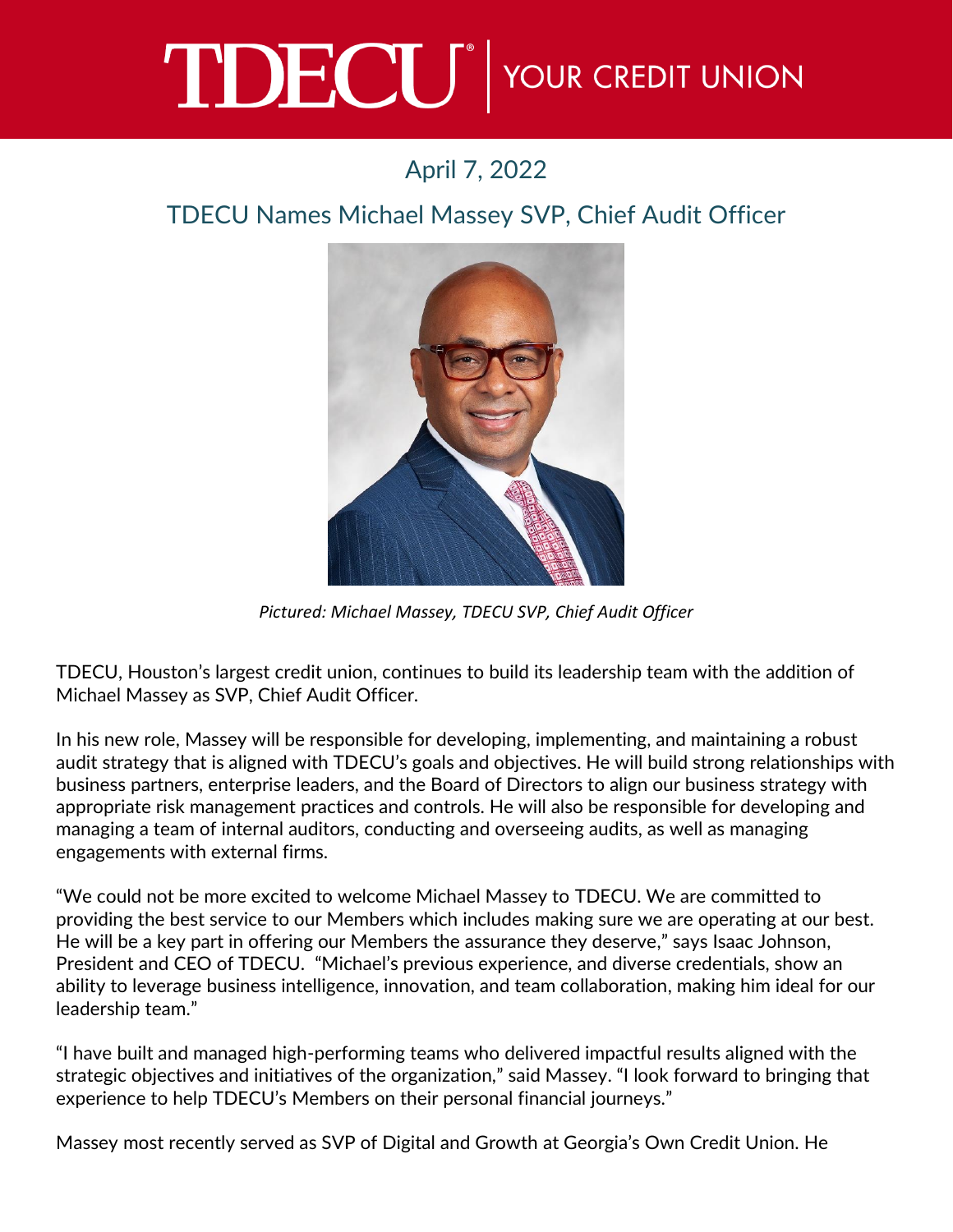## TDECU<sup>®</sup> YOUR CREDIT UNION

## April 7, 2022

## TDECU Names Michael Massey SVP, Chief Audit Officer



*Pictured: Michael Massey, TDECU SVP, Chief Audit Officer*

TDECU, Houston's largest credit union, continues to build its leadership team with the addition of Michael Massey as SVP, Chief Audit Officer.

In his new role, Massey will be responsible for developing, implementing, and maintaining a robust audit strategy that is aligned with TDECU's goals and objectives. He will build strong relationships with business partners, enterprise leaders, and the Board of Directors to align our business strategy with appropriate risk management practices and controls. He will also be responsible for developing and managing a team of internal auditors, conducting and overseeing audits, as well as managing engagements with external firms.

"We could not be more excited to welcome Michael Massey to TDECU. We are committed to providing the best service to our Members which includes making sure we are operating at our best. He will be a key part in offering our Members the assurance they deserve," says Isaac Johnson, President and CEO of TDECU. "Michael's previous experience, and diverse credentials, show an ability to leverage business intelligence, innovation, and team collaboration, making him ideal for our leadership team."

"I have built and managed high-performing teams who delivered impactful results aligned with the strategic objectives and initiatives of the organization," said Massey. "I look forward to bringing that experience to help TDECU's Members on their personal financial journeys."

Massey most recently served as SVP of Digital and Growth at Georgia's Own Credit Union. He